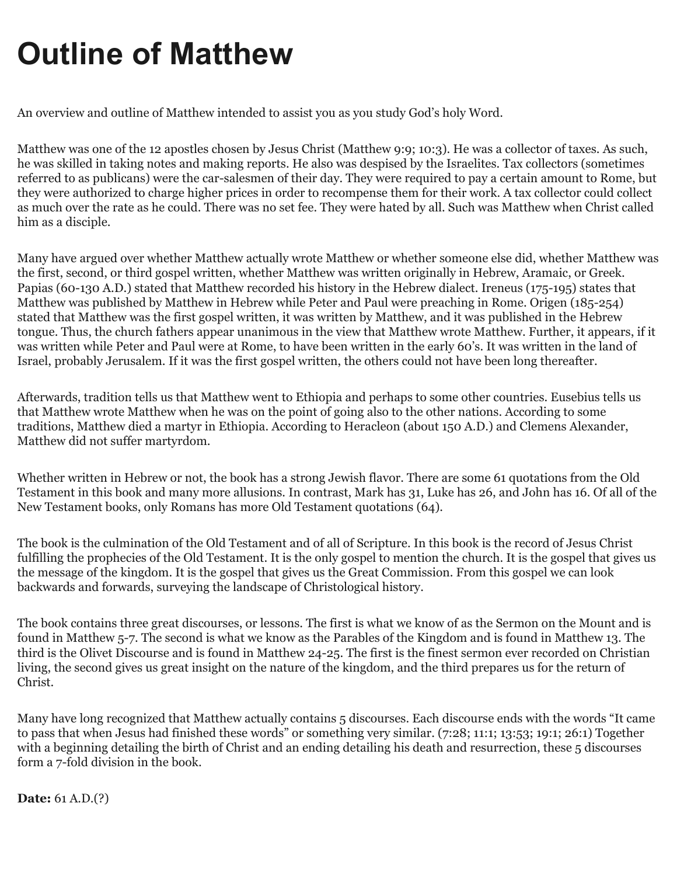# **Outline of Matthew**

An overview and outline of Matthew intended to assist you as you study God's holy Word.

Matthew was one of the 12 apostles chosen by Jesus Christ (Matthew 9:9; 10:3). He was a collector of taxes. As such, he was skilled in taking notes and making reports. He also was despised by the Israelites. Tax collectors (sometimes referred to as publicans) were the car-salesmen of their day. They were required to pay a certain amount to Rome, but they were authorized to charge higher prices in order to recompense them for their work. A tax collector could collect as much over the rate as he could. There was no set fee. They were hated by all. Such was Matthew when Christ called him as a disciple.

Many have argued over whether Matthew actually wrote Matthew or whether someone else did, whether Matthew was the first, second, or third gospel written, whether Matthew was written originally in Hebrew, Aramaic, or Greek. Papias (60-130 A.D.) stated that Matthew recorded his history in the Hebrew dialect. Ireneus (175-195) states that Matthew was published by Matthew in Hebrew while Peter and Paul were preaching in Rome. Origen (185-254) stated that Matthew was the first gospel written, it was written by Matthew, and it was published in the Hebrew tongue. Thus, the church fathers appear unanimous in the view that Matthew wrote Matthew. Further, it appears, if it was written while Peter and Paul were at Rome, to have been written in the early 60's. It was written in the land of Israel, probably Jerusalem. If it was the first gospel written, the others could not have been long thereafter.

Afterwards, tradition tells us that Matthew went to Ethiopia and perhaps to some other countries. Eusebius tells us that Matthew wrote Matthew when he was on the point of going also to the other nations. According to some traditions, Matthew died a martyr in Ethiopia. According to Heracleon (about 150 A.D.) and Clemens Alexander, Matthew did not suffer martyrdom.

Whether written in Hebrew or not, the book has a strong Jewish flavor. There are some 61 quotations from the Old Testament in this book and many more allusions. In contrast, Mark has 31, Luke has 26, and John has 16. Of all of the New Testament books, only Romans has more Old Testament quotations (64).

The book is the culmination of the Old Testament and of all of Scripture. In this book is the record of Jesus Christ fulfilling the prophecies of the Old Testament. It is the only gospel to mention the church. It is the gospel that gives us the message of the kingdom. It is the gospel that gives us the Great Commission. From this gospel we can look backwards and forwards, surveying the landscape of Christological history.

The book contains three great discourses, or lessons. The first is what we know of as the Sermon on the Mount and is found in Matthew 5-7. The second is what we know as the Parables of the Kingdom and is found in Matthew 13. The third is the Olivet Discourse and is found in Matthew 24-25. The first is the finest sermon ever recorded on Christian living, the second gives us great insight on the nature of the kingdom, and the third prepares us for the return of Christ.

Many have long recognized that Matthew actually contains 5 discourses. Each discourse ends with the words "It came to pass that when Jesus had finished these words" or something very similar. (7:28; 11:1; 13:53; 19:1; 26:1) Together with a beginning detailing the birth of Christ and an ending detailing his death and resurrection, these 5 discourses form a 7-fold division in the book.

**Date:** 61 A.D.(?)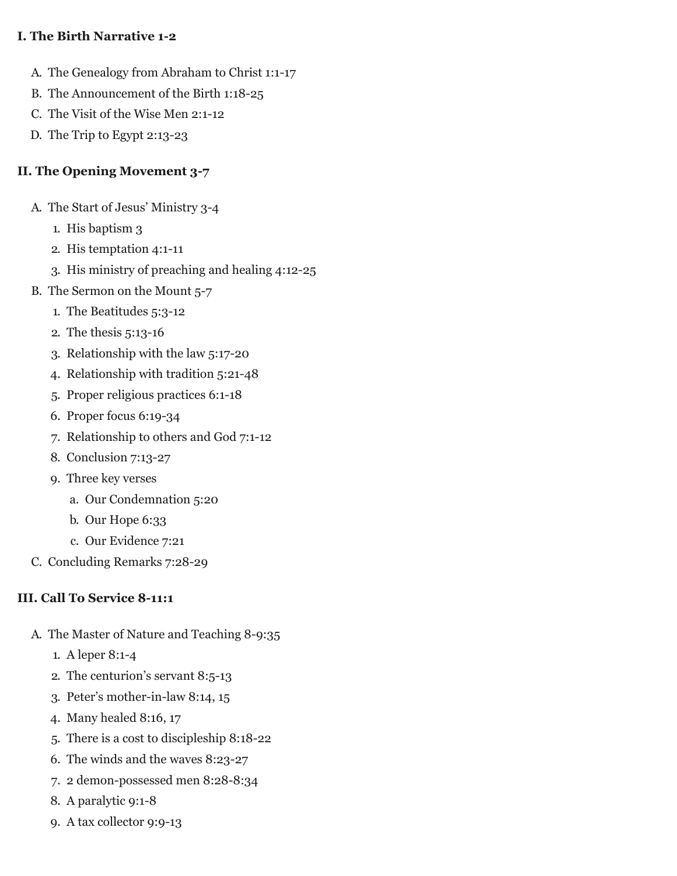#### **I. The Birth Narrative 1-2**

- A. The Genealogy from Abraham to Christ 1:1-17
- B. The Announcement of the Birth 1:18-25
- C. The Visit of the Wise Men 2:1-12
- D. The Trip to Egypt 2:13-23

### **II. The Opening Movement 3-7**

- A. The Start of Jesus' Ministry 3-4
	- 1. His baptism 3
	- 2. His temptation 4:1-11
	- 3. His ministry of preaching and healing 4:12-25
- B. The Sermon on the Mount 5-7
	- 1. The Beatitudes 5:3-12
	- 2. The thesis 5:13-16
	- 3. Relationship with the law 5:17-20
	- 4. Relationship with tradition 5:21-48
	- 5. Proper religious practices 6:1-18
	- 6. Proper focus 6:19-34
	- 7. Relationship to others and God 7:1-12
	- 8. Conclusion 7:13-27
	- 9. Three key verses
		- a. Our Condemnation 5:20
		- b. Our Hope 6:33
		- c. Our Evidence 7:21
- C. Concluding Remarks 7:28-29

## **III. Call To Service 8-11:1**

- A. The Master of Nature and Teaching 8-9:35
	- 1. A leper 8:1-4
	- 2. The centurion's servant 8:5-13
	- 3. Peter's mother-in-law 8:14, 15
	- 4. Many healed 8:16, 17
	- 5. There is a cost to discipleship 8:18-22
	- 6. The winds and the waves 8:23-27
	- 7. 2 demon-possessed men 8:28-8:34
	- 8. A paralytic 9:1-8
	- 9. A tax collector 9:9-13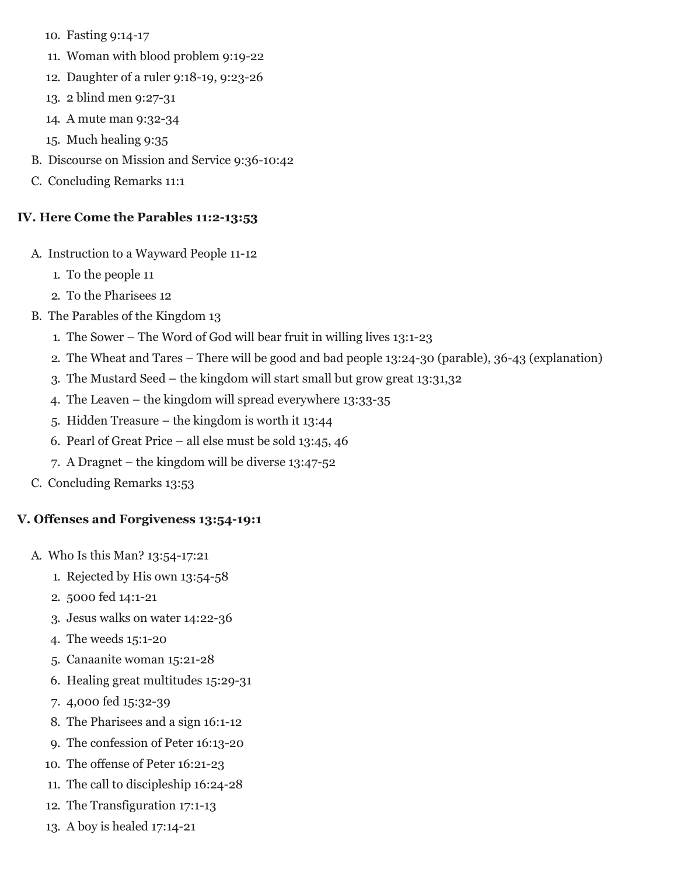- 10. Fasting 9:14-17
- 11. Woman with blood problem 9:19-22
- 12. Daughter of a ruler 9:18-19, 9:23-26
- 13. 2 blind men 9:27-31
- 14. A mute man 9:32-34
- 15. Much healing 9:35
- B. Discourse on Mission and Service 9:36-10:42
- C. Concluding Remarks 11:1

#### **IV. Here Come the Parables 11:2-13:53**

- A. Instruction to a Wayward People 11-12
	- 1. To the people 11
	- 2. To the Pharisees 12
- B. The Parables of the Kingdom 13
	- 1. The Sower The Word of God will bear fruit in willing lives 13:1-23
	- 2. The Wheat and Tares There will be good and bad people 13:24-30 (parable), 36-43 (explanation)
	- 3. The Mustard Seed the kingdom will start small but grow great 13:31,32
	- 4. The Leaven the kingdom will spread everywhere 13:33-35
	- 5. Hidden Treasure the kingdom is worth it 13:44
	- 6. Pearl of Great Price all else must be sold 13:45, 46
	- 7. A Dragnet the kingdom will be diverse 13:47-52
- C. Concluding Remarks 13:53

#### **V. Offenses and Forgiveness 13:54-19:1**

- A. Who Is this Man? 13:54-17:21
	- 1. Rejected by His own 13:54-58
	- 2. 5000 fed 14:1-21
	- 3. Jesus walks on water 14:22-36
	- 4. The weeds 15:1-20
	- 5. Canaanite woman 15:21-28
	- 6. Healing great multitudes 15:29-31
	- 7. 4,000 fed 15:32-39
	- 8. The Pharisees and a sign 16:1-12
	- 9. The confession of Peter 16:13-20
	- 10. The offense of Peter 16:21-23
	- 11. The call to discipleship 16:24-28
	- 12. The Transfiguration 17:1-13
	- 13. A boy is healed 17:14-21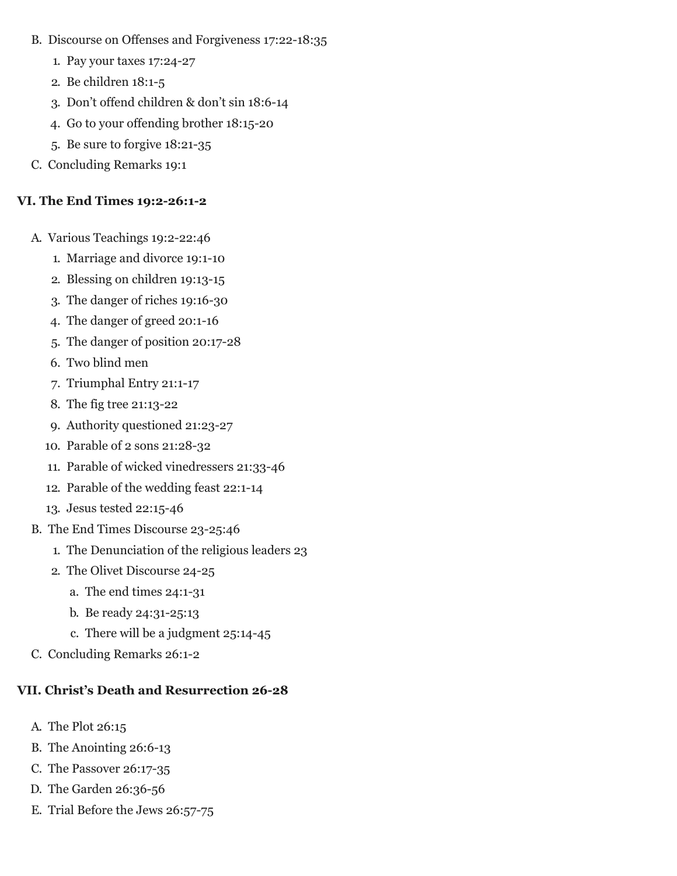- B. Discourse on Offenses and Forgiveness 17:22-18:35
	- 1. Pay your taxes 17:24-27
	- 2. Be children 18:1-5
	- 3. Don't offend children & don't sin 18:6-14
	- 4. Go to your offending brother 18:15-20
	- 5. Be sure to forgive 18:21-35
- C. Concluding Remarks 19:1

#### **VI. The End Times 19:2-26:1-2**

- A. Various Teachings 19:2-22:46
	- 1. Marriage and divorce 19:1-10
	- 2. Blessing on children 19:13-15
	- 3. The danger of riches 19:16-30
	- 4. The danger of greed 20:1-16
	- 5. The danger of position 20:17-28
	- 6. Two blind men
	- 7. Triumphal Entry 21:1-17
	- 8. The fig tree 21:13-22
	- 9. Authority questioned 21:23-27
	- 10. Parable of 2 sons 21:28-32
	- 11. Parable of wicked vinedressers 21:33-46
	- 12. Parable of the wedding feast 22:1-14
	- 13. Jesus tested 22:15-46
- B. The End Times Discourse 23-25:46
	- 1. The Denunciation of the religious leaders 23
	- 2. The Olivet Discourse 24-25
		- a. The end times 24:1-31
		- b. Be ready 24:31-25:13
		- c. There will be a judgment 25:14-45
- C. Concluding Remarks 26:1-2

# **VII. Christ's Death and Resurrection 26-28**

- A. The Plot 26:15
- B. The Anointing 26:6-13
- C. The Passover 26:17-35
- D. The Garden 26:36-56
- E. Trial Before the Jews 26:57-75